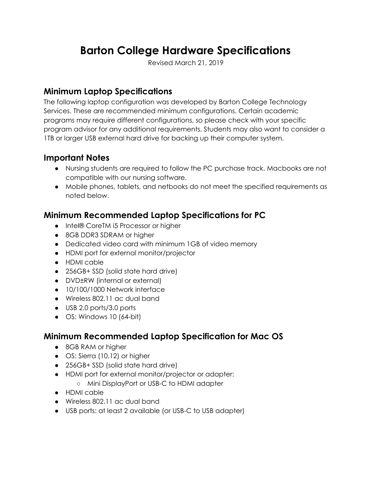# **Barton College Hardware Specifications**

Revised March 21, 2019

#### **Minimum Laptop Specifications**

The following laptop configuration was developed by Barton College Technology Services. These are recommended minimum configurations. Certain academic programs may require different configurations, so please check with your specific program advisor for any additional requirements. Students may also want to consider a 1TB or larger USB external hard drive for backing up their computer system.

#### **Important Notes**

- Nursing students are required to follow the PC purchase track. Macbooks are not compatible with our nursing software.
- Mobile phones, tablets, and netbooks do not meet the specified requirements as noted below.

## **Minimum Recommended Laptop Specifications for PC**

- Intel® CoreTM i5 Processor or higher
- 8GB DDR3 SDRAM or higher
- Dedicated video card with minimum 1GB of video memory
- HDMI port for external monitor/projector
- HDMI cable
- 256GB+ SSD (solid state hard drive)
- DVD±RW (internal or external)
- 10/100/1000 Network interface
- Wireless 802.11 ac dual band
- USB 2.0 ports/3.0 ports
- $\bullet$  OS: Windows 10 (64-bit)

#### **Minimum Recommended Laptop Specification for Mac OS**

- 8GB RAM or higher
- OS: Sierra (10.12) or higher
- 256GB+ SSD (solid state hard drive)
- HDMI port for external monitor/projector or adapter:
	- Mini DisplayPort or USBC to HDMI adapter
- HDMI cable
- Wireless 802.11 ac dual band
- USB ports: at least 2 available (or USB-C to USB adapter)